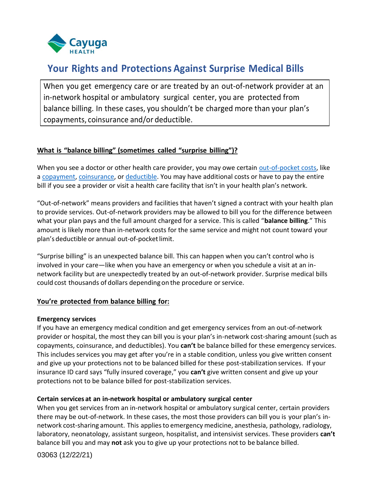

# **Your Rights and Protections Against Surprise Medical Bills**

When you get emergency care or are treated by an out-of-network provider at an in-network hospital or ambulatory surgical center, you are protected from balance billing. In these cases, you shouldn't be charged more than your plan's copayments, coinsurance and/or deductible.

#### **What is "balance billing" (sometimes called "surprise billing")?**

When you see a doctor or other health care provider, you may owe certain [out-of-pocket costs,](https://www.healthcare.gov/glossary/out-of-pocket-costs/) like a [copayment,](https://www.healthcare.gov/glossary/co-payment/) [coinsurance,](https://www.healthcare.gov/glossary/co-insurance/) or [deductible.](https://www.healthcare.gov/glossary/deductible/) You may have additional costs or have to pay the entire bill if you see a provider or visit a health care facility that isn't in your health plan's network.

"Out-of-network" means providers and facilities that haven't signed a contract with your health plan to provide services. Out-of-network providers may be allowed to bill you for the difference between what your plan pays and the full amount charged for a service. This is called "**balance billing**." This amount is likely more than in-network costs for the same service and might not count toward your plan's deductible or annual out-of-pocket limit.

"Surprise billing" is an unexpected balance bill. This can happen when you can't control who is involved in your care—like when you have an emergency or when you schedule a visit at an innetwork facility but are unexpectedly treated by an out-of-network provider. Surprise medical bills could cost thousands of dollars depending on the procedure or service.

### **You're protected from balance billing for:**

#### **Emergency services**

If you have an emergency medical condition and get emergency services from an out-of-network provider or hospital, the most they can bill you is your plan's in-network cost-sharing amount (such as copayments, coinsurance, and deductibles). You **can't** be balance billed for these emergency services. This includes services you may get after you're in a stable condition, unless you give written consent and give up your protections not to be balanced billed for these post-stabilization services. If your insurance ID card says "fully insured coverage," you **can't** give written consent and give up your protections not to be balance billed for post-stabilization services.

#### **Certain services at an in-network hospital or ambulatory surgical center**

When you get services from an in-network hospital or ambulatory surgical center, certain providers there may be out-of-network. In these cases, the most those providers can bill you is your plan's innetwork cost-sharing amount. This applies to emergency medicine, anesthesia, pathology, radiology, laboratory, neonatology, assistant surgeon, hospitalist, and intensivist services. These providers **can't**  balance bill you and may **not** ask you to give up your protections not to be balance billed.

03063 (12/22/21)